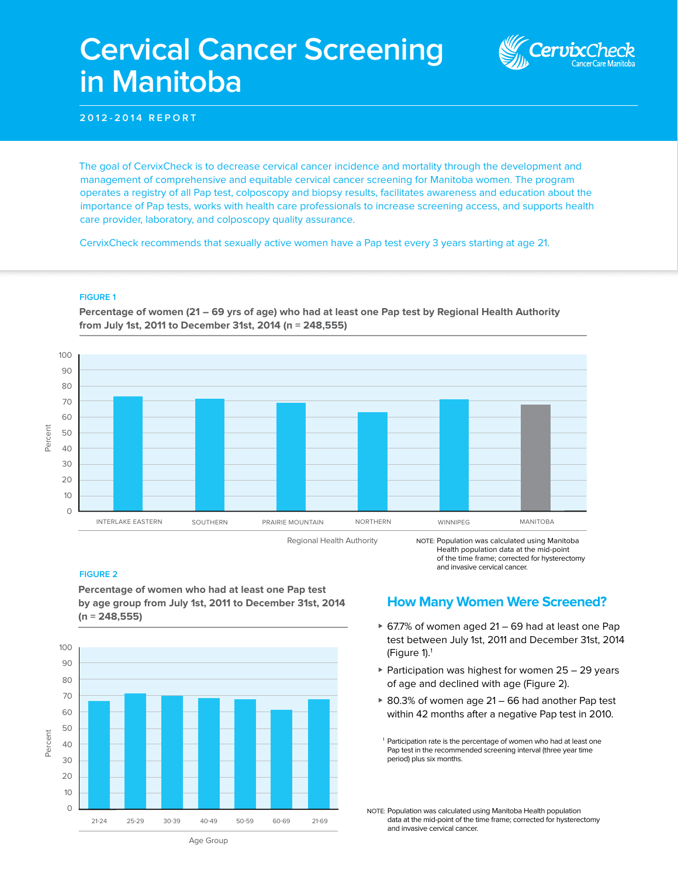# **Cervical Cancer Screening in Manitoba**

**2012-2014 REPORT**

The goal of CervixCheck is to decrease cervical cancer incidence and mortality through the development and management of comprehensive and equitable cervical cancer screening for Manitoba women. The program operates a registry of all Pap test, colposcopy and biopsy results, facilitates awareness and education about the importance of Pap tests, works with health care professionals to increase screening access, and supports health care provider, laboratory, and colposcopy quality assurance.

CervixCheck recommends that sexually active women have a Pap test every 3 years starting at age 21.

#### **FIGURE 1**

**Percentage of women (21 – 69 yrs of age) who had at least one Pap test by Regional Health Authority from July 1st, 2011 to December 31st, 2014 (n = 248,555)** 



Regional Health Authority

NOTE: Population was calculated using Manitoba Health population data at the mid-point of the time frame; corrected for hysterectomy and invasive cervical cancer.

#### **FIGURE 2**

**Percentage of women who had at least one Pap test by age group from July 1st, 2011 to December 31st, 2014 (n = 248,555)**



**How Many Women Were Screened?**

- $\triangleright$  67.7% of women aged 21 69 had at least one Pap test between July 1st, 2011 and December 31st, 2014 (Figure 1).1
- $\triangleright$  Participation was highest for women 25 29 years of age and declined with age (Figure 2).
- $\geq 80.3\%$  of women age 21 66 had another Pap test within 42 months after a negative Pap test in 2010.

<sup>1</sup> Participation rate is the percentage of women who had at least one Pap test in the recommended screening interval (three year time period) plus six months.

NOTE: Population was calculated using Manitoba Health population data at the mid-point of the time frame; corrected for hysterectomy and invasive cervical cancer.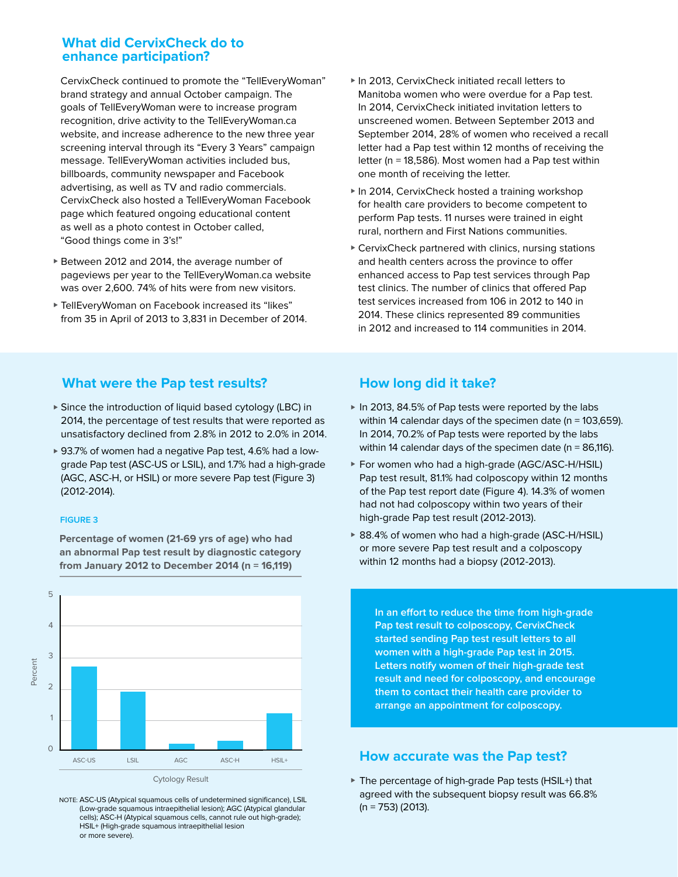## **What did CervixCheck do to enhance participation?**

 CervixCheck continued to promote the "TellEveryWoman" brand strategy and annual October campaign. The goals of TellEveryWoman were to increase program recognition, drive activity to the TellEveryWoman.ca website, and increase adherence to the new three year screening interval through its "Every 3 Years" campaign message. TellEveryWoman activities included bus, billboards, community newspaper and Facebook advertising, as well as TV and radio commercials. CervixCheck also hosted a TellEveryWoman Facebook page which featured ongoing educational content as well as a photo contest in October called, "Good things come in 3's!"

- ▶ Between 2012 and 2014, the average number of pageviews per year to the TellEveryWoman.ca website was over 2,600. 74% of hits were from new visitors.
- ▶ TellEveryWoman on Facebook increased its "likes" from 35 in April of 2013 to 3,831 in December of 2014.
- $\blacktriangleright$  In 2013, CervixCheck initiated recall letters to Manitoba women who were overdue for a Pap test. In 2014, CervixCheck initiated invitation letters to unscreened women. Between September 2013 and September 2014, 28% of women who received a recall letter had a Pap test within 12 months of receiving the letter (n = 18,586). Most women had a Pap test within one month of receiving the letter.
- $\blacktriangleright$  In 2014, CervixCheck hosted a training workshop for health care providers to become competent to perform Pap tests. 11 nurses were trained in eight rural, northern and First Nations communities.
- $\triangleright$  CervixCheck partnered with clinics, nursing stations and health centers across the province to offer enhanced access to Pap test services through Pap test clinics. The number of clinics that offered Pap test services increased from 106 in 2012 to 140 in 2014. These clinics represented 89 communities in 2012 and increased to 114 communities in 2014.

# **What were the Pap test results?**

- ▶ Since the introduction of liquid based cytology (LBC) in 2014, the percentage of test results that were reported as unsatisfactory declined from 2.8% in 2012 to 2.0% in 2014.
- ▶ 93.7% of women had a negative Pap test, 4.6% had a lowgrade Pap test (ASC-US or LSIL), and 1.7% had a high-grade (AGC, ASC-H, or HSIL) or more severe Pap test (Figure 3) (2012-2014).

#### **FIGURE 3**



**Percentage of women (21-69 yrs of age) who had an abnormal Pap test result by diagnostic category from January 2012 to December 2014 (n = 16,119)** 

#### NOTE: ASC-US (Atypical squamous cells of undetermined significance), LSIL (Low-grade squamous intraepithelial lesion); AGC (Atypical glandular cells); ASC-H (Atypical squamous cells, cannot rule out high-grade); HSIL+ (High-grade squamous intraepithelial lesion or more severe).

# **How long did it take?**

- ▶ In 2013, 84.5% of Pap tests were reported by the labs within 14 calendar days of the specimen date (n = 103,659). In 2014, 70.2% of Pap tests were reported by the labs within 14 calendar days of the specimen date ( $n = 86,116$ ).
- ▶ For women who had a high-grade (AGC/ASC-H/HSIL) Pap test result, 81.1% had colposcopy within 12 months of the Pap test report date (Figure 4). 14.3% of women had not had colposcopy within two years of their high-grade Pap test result (2012-2013).
- ▶ 88.4% of women who had a high-grade (ASC-H/HSIL) or more severe Pap test result and a colposcopy within 12 months had a biopsy (2012-2013).

**In an effort to reduce the time from high-grade Pap test result to colposcopy, CervixCheck started sending Pap test result letters to all women with a high-grade Pap test in 2015. Letters notify women of their high-grade test result and need for colposcopy, and encourage them to contact their health care provider to arrange an appointment for colposcopy.**

# **How accurate was the Pap test?**

 $\triangleright$  The percentage of high-grade Pap tests (HSIL+) that agreed with the subsequent biopsy result was 66.8% (n = 753) (2013).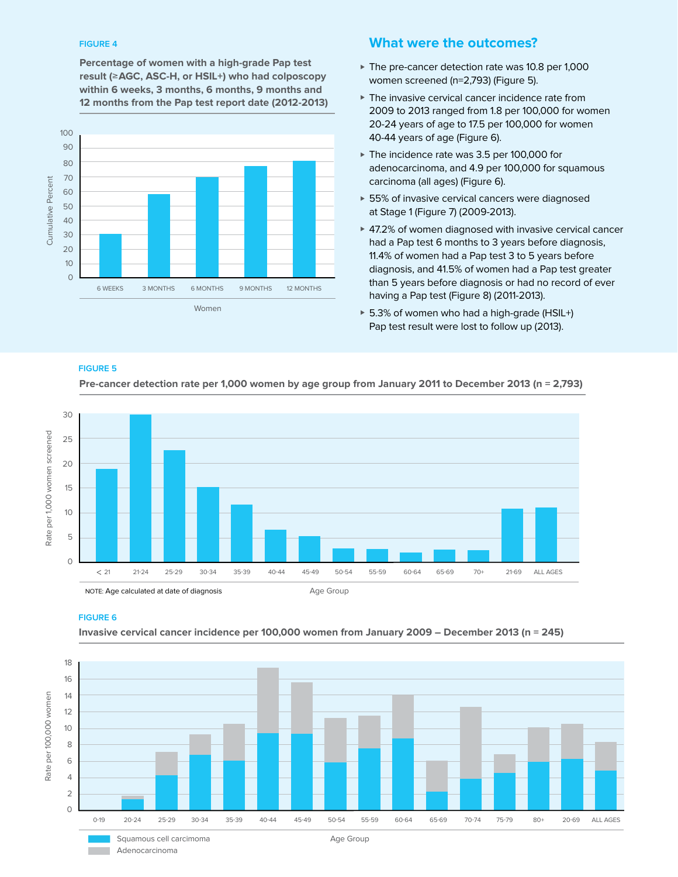#### **FIGURE 4**

**Percentage of women with a high-grade Pap test result (**≥**AGC, ASC-H, or HSIL+) who had colposcopy within 6 weeks, 3 months, 6 months, 9 months and 12 months from the Pap test report date (2012-2013)**



# **What were the outcomes?**

- $\blacktriangleright$  The pre-cancer detection rate was 10.8 per 1,000 women screened (n=2,793) (Figure 5).
- $\blacktriangleright$  The invasive cervical cancer incidence rate from 2009 to 2013 ranged from 1.8 per 100,000 for women 20-24 years of age to 17.5 per 100,000 for women 40-44 years of age (Figure 6).
- $\blacktriangleright$  The incidence rate was 3.5 per 100,000 for adenocarcinoma, and 4.9 per 100,000 for squamous carcinoma (all ages) (Figure 6).
- $\triangleright$  55% of invasive cervical cancers were diagnosed at Stage 1 (Figure 7) (2009-2013).
- $\blacktriangleright$  47.2% of women diagnosed with invasive cervical cancer had a Pap test 6 months to 3 years before diagnosis, 11.4% of women had a Pap test 3 to 5 years before diagnosis, and 41.5% of women had a Pap test greater than 5 years before diagnosis or had no record of ever having a Pap test (Figure 8) (2011-2013).
- $\triangleright$  5.3% of women who had a high-grade (HSIL+) Pap test result were lost to follow up (2013).

#### **FIGURE 5**



**Pre-cancer detection rate per 1,000 women by age group from January 2011 to December 2013 (n = 2,793)**



#### **FIGURE 6**